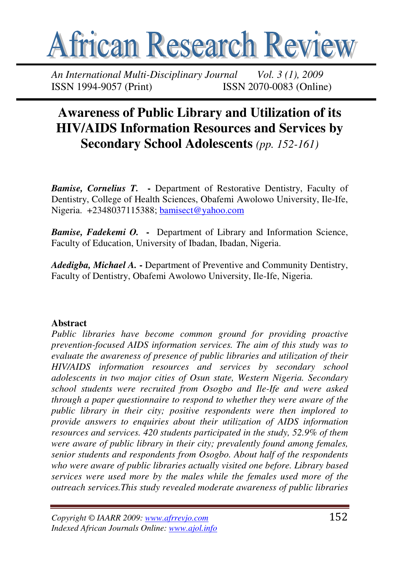

*An International Multi-Disciplinary Journal Vol. 3 (1), 2009*  ISSN 1994-9057 (Print) ISSN 2070-0083 (Online)

# **Awareness of Public Library and Utilization of its HIV/AIDS Information Resources and Services by Secondary School Adolescents** *(pp. 152-161)*

**Bamise, Cornelius T. - Department of Restorative Dentistry, Faculty of** Dentistry, College of Health Sciences, Obafemi Awolowo University, Ile-Ife, Nigeria. +2348037115388; bamisect@yahoo.com

*Bamise, Fadekemi O.* **-** Department of Library and Information Science, Faculty of Education, University of Ibadan, Ibadan, Nigeria.

*Adedigba, Michael A.* **-** Department of Preventive and Community Dentistry, Faculty of Dentistry, Obafemi Awolowo University, Ile-Ife, Nigeria.

## **Abstract**

*Public libraries have become common ground for providing proactive prevention-focused AIDS information services. The aim of this study was to evaluate the awareness of presence of public libraries and utilization of their HIV/AIDS information resources and services by secondary school adolescents in two major cities of Osun state, Western Nigeria. Secondary school students were recruited from Osogbo and Ile-Ife and were asked through a paper questionnaire to respond to whether they were aware of the public library in their city; positive respondents were then implored to provide answers to enquiries about their utilization of AIDS information resources and services. 420 students participated in the study, 52.9% of them were aware of public library in their city; prevalently found among females, senior students and respondents from Osogbo. About half of the respondents who were aware of public libraries actually visited one before. Library based services were used more by the males while the females used more of the outreach services.This study revealed moderate awareness of public libraries*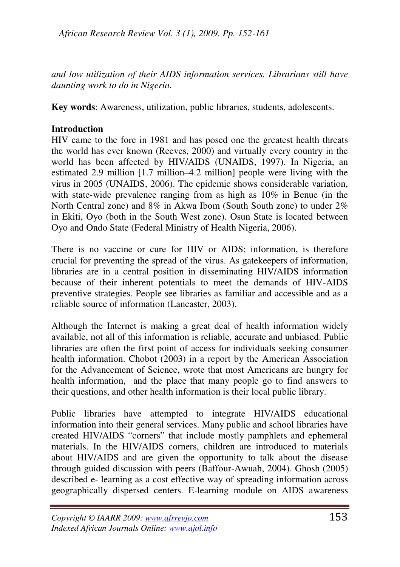*and low utilization of their AIDS information services. Librarians still have daunting work to do in Nigeria.* 

**Key words**: Awareness, utilization, public libraries, students, adolescents.

## **Introduction**

HIV came to the fore in 1981 and has posed one the greatest health threats the world has ever known (Reeves, 2000) and virtually every country in the world has been affected by HIV/AIDS (UNAIDS, 1997). In Nigeria, an estimated 2.9 million [1.7 million–4.2 million] people were living with the virus in 2005 (UNAIDS, 2006). The epidemic shows considerable variation, with state-wide prevalence ranging from as high as 10% in Benue (in the North Central zone) and 8% in Akwa Ibom (South South zone) to under 2% in Ekiti, Oyo (both in the South West zone). Osun State is located between Oyo and Ondo State (Federal Ministry of Health Nigeria, 2006).

There is no vaccine or cure for HIV or AIDS; information, is therefore crucial for preventing the spread of the virus. As gatekeepers of information, libraries are in a central position in disseminating HIV/AIDS information because of their inherent potentials to meet the demands of HIV-AIDS preventive strategies. People see libraries as familiar and accessible and as a reliable source of information (Lancaster, 2003).

Although the Internet is making a great deal of health information widely available, not all of this information is reliable, accurate and unbiased. Public libraries are often the first point of access for individuals seeking consumer health information. Chobot (2003) in a report by the American Association for the Advancement of Science, wrote that most Americans are hungry for health information, and the place that many people go to find answers to their questions, and other health information is their local public library.

Public libraries have attempted to integrate HIV/AIDS educational information into their general services. Many public and school libraries have created HIV/AIDS "corners" that include mostly pamphlets and ephemeral materials. In the HIV/AIDS corners, children are introduced to materials about HIV/AIDS and are given the opportunity to talk about the disease through guided discussion with peers (Baffour-Awuah, 2004). Ghosh (2005) described e- learning as a cost effective way of spreading information across geographically dispersed centers. E-learning module on AIDS awareness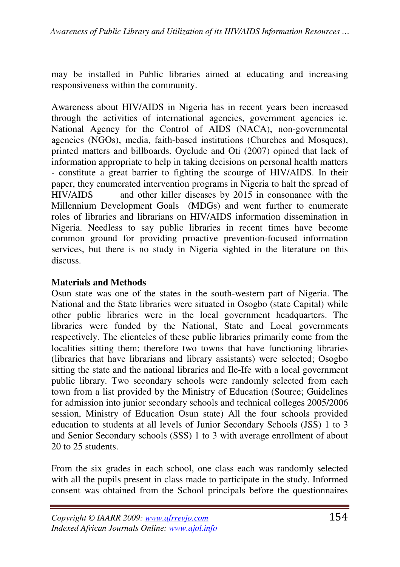*Awareness of Public Library and Utilization of its HIV/AIDS Information Resources …* 

may be installed in Public libraries aimed at educating and increasing responsiveness within the community.

Awareness about HIV/AIDS in Nigeria has in recent years been increased through the activities of international agencies, government agencies ie. National Agency for the Control of AIDS (NACA), non-governmental agencies (NGOs), media, faith-based institutions (Churches and Mosques), printed matters and billboards. Oyelude and Oti (2007) opined that lack of information appropriate to help in taking decisions on personal health matters - constitute a great barrier to fighting the scourge of HIV/AIDS. In their paper, they enumerated intervention programs in Nigeria to halt the spread of HIV/AIDS and other killer diseases by 2015 in consonance with the Millennium Development Goals (MDGs) and went further to enumerate roles of libraries and librarians on HIV/AIDS information dissemination in Nigeria. Needless to say public libraries in recent times have become common ground for providing proactive prevention-focused information services, but there is no study in Nigeria sighted in the literature on this discuss.

## **Materials and Methods**

Osun state was one of the states in the south-western part of Nigeria. The National and the State libraries were situated in Osogbo (state Capital) while other public libraries were in the local government headquarters. The libraries were funded by the National, State and Local governments respectively. The clienteles of these public libraries primarily come from the localities sitting them; therefore two towns that have functioning libraries (libraries that have librarians and library assistants) were selected; Osogbo sitting the state and the national libraries and Ile-Ife with a local government public library. Two secondary schools were randomly selected from each town from a list provided by the Ministry of Education (Source; Guidelines for admission into junior secondary schools and technical colleges 2005/2006 session, Ministry of Education Osun state) All the four schools provided education to students at all levels of Junior Secondary Schools (JSS) 1 to 3 and Senior Secondary schools (SSS) 1 to 3 with average enrollment of about 20 to 25 students.

From the six grades in each school, one class each was randomly selected with all the pupils present in class made to participate in the study. Informed consent was obtained from the School principals before the questionnaires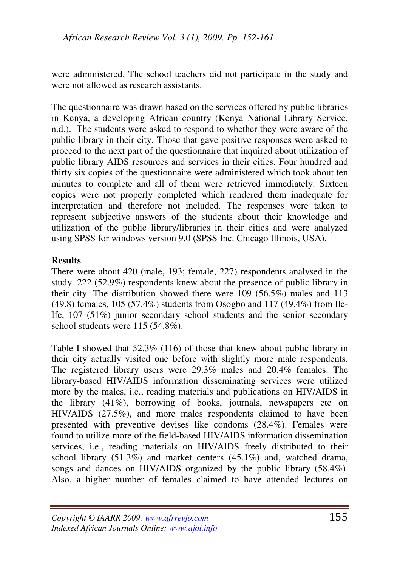were administered. The school teachers did not participate in the study and were not allowed as research assistants.

The questionnaire was drawn based on the services offered by public libraries in Kenya, a developing African country (Kenya National Library Service, n.d.). The students were asked to respond to whether they were aware of the public library in their city. Those that gave positive responses were asked to proceed to the next part of the questionnaire that inquired about utilization of public library AIDS resources and services in their cities. Four hundred and thirty six copies of the questionnaire were administered which took about ten minutes to complete and all of them were retrieved immediately. Sixteen copies were not properly completed which rendered them inadequate for interpretation and therefore not included. The responses were taken to represent subjective answers of the students about their knowledge and utilization of the public library/libraries in their cities and were analyzed using SPSS for windows version 9.0 (SPSS Inc. Chicago Illinois, USA).

# **Results**

There were about 420 (male, 193; female, 227) respondents analysed in the study. 222 (52.9%) respondents knew about the presence of public library in their city. The distribution showed there were 109 (56.5%) males and 113 (49.8) females, 105 (57.4%) students from Osogbo and 117 (49.4%) from Ile-Ife, 107 (51%) junior secondary school students and the senior secondary school students were 115 (54.8%).

Table I showed that 52.3% (116) of those that knew about public library in their city actually visited one before with slightly more male respondents. The registered library users were 29.3% males and 20.4% females. The library-based HIV/AIDS information disseminating services were utilized more by the males, i.e., reading materials and publications on HIV/AIDS in the library  $(41\%)$ , borrowing of books, journals, newspapers etc on HIV/AIDS (27.5%), and more males respondents claimed to have been presented with preventive devises like condoms (28.4%). Females were found to utilize more of the field-based HIV/AIDS information dissemination services, i.e., reading materials on HIV/AIDS freely distributed to their school library (51.3%) and market centers (45.1%) and, watched drama, songs and dances on HIV/AIDS organized by the public library (58.4%). Also, a higher number of females claimed to have attended lectures on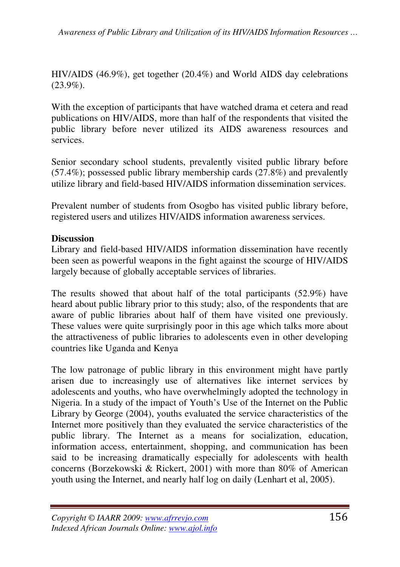HIV/AIDS (46.9%), get together (20.4%) and World AIDS day celebrations  $(23.9\%).$ 

With the exception of participants that have watched drama et cetera and read publications on HIV/AIDS, more than half of the respondents that visited the public library before never utilized its AIDS awareness resources and services.

Senior secondary school students, prevalently visited public library before (57.4%); possessed public library membership cards (27.8%) and prevalently utilize library and field-based HIV/AIDS information dissemination services.

Prevalent number of students from Osogbo has visited public library before, registered users and utilizes HIV/AIDS information awareness services.

## **Discussion**

Library and field-based HIV/AIDS information dissemination have recently been seen as powerful weapons in the fight against the scourge of HIV/AIDS largely because of globally acceptable services of libraries.

The results showed that about half of the total participants (52.9%) have heard about public library prior to this study; also, of the respondents that are aware of public libraries about half of them have visited one previously. These values were quite surprisingly poor in this age which talks more about the attractiveness of public libraries to adolescents even in other developing countries like Uganda and Kenya

The low patronage of public library in this environment might have partly arisen due to increasingly use of alternatives like internet services by adolescents and youths, who have overwhelmingly adopted the technology in Nigeria. In a study of the impact of Youth's Use of the Internet on the Public Library by George (2004), youths evaluated the service characteristics of the Internet more positively than they evaluated the service characteristics of the public library. The Internet as a means for socialization, education, information access, entertainment, shopping, and communication has been said to be increasing dramatically especially for adolescents with health concerns (Borzekowski & Rickert, 2001) with more than 80% of American youth using the Internet, and nearly half log on daily (Lenhart et al, 2005).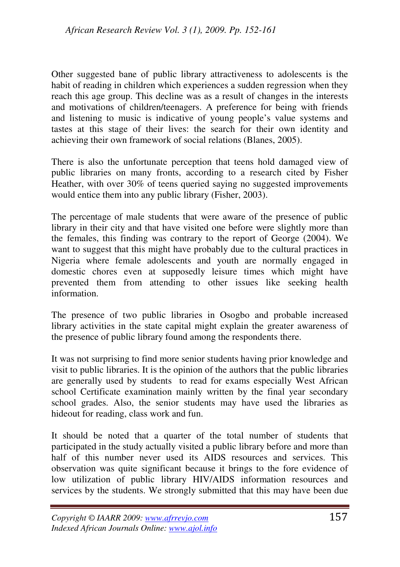Other suggested bane of public library attractiveness to adolescents is the habit of reading in children which experiences a sudden regression when they reach this age group. This decline was as a result of changes in the interests and motivations of children/teenagers. A preference for being with friends and listening to music is indicative of young people's value systems and tastes at this stage of their lives: the search for their own identity and achieving their own framework of social relations (Blanes, 2005).

There is also the unfortunate perception that teens hold damaged view of public libraries on many fronts, according to a research cited by Fisher Heather, with over 30% of teens queried saying no suggested improvements would entice them into any public library (Fisher, 2003).

The percentage of male students that were aware of the presence of public library in their city and that have visited one before were slightly more than the females, this finding was contrary to the report of George (2004). We want to suggest that this might have probably due to the cultural practices in Nigeria where female adolescents and youth are normally engaged in domestic chores even at supposedly leisure times which might have prevented them from attending to other issues like seeking health information.

The presence of two public libraries in Osogbo and probable increased library activities in the state capital might explain the greater awareness of the presence of public library found among the respondents there.

It was not surprising to find more senior students having prior knowledge and visit to public libraries. It is the opinion of the authors that the public libraries are generally used by students to read for exams especially West African school Certificate examination mainly written by the final year secondary school grades. Also, the senior students may have used the libraries as hideout for reading, class work and fun.

It should be noted that a quarter of the total number of students that participated in the study actually visited a public library before and more than half of this number never used its AIDS resources and services. This observation was quite significant because it brings to the fore evidence of low utilization of public library HIV/AIDS information resources and services by the students. We strongly submitted that this may have been due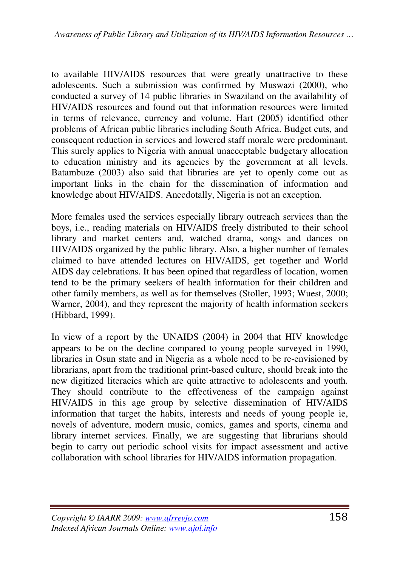to available HIV/AIDS resources that were greatly unattractive to these adolescents. Such a submission was confirmed by Muswazi (2000), who conducted a survey of 14 public libraries in Swaziland on the availability of HIV/AIDS resources and found out that information resources were limited in terms of relevance, currency and volume. Hart (2005) identified other problems of African public libraries including South Africa. Budget cuts, and consequent reduction in services and lowered staff morale were predominant. This surely applies to Nigeria with annual unacceptable budgetary allocation to education ministry and its agencies by the government at all levels. Batambuze (2003) also said that libraries are yet to openly come out as important links in the chain for the dissemination of information and knowledge about HIV/AIDS. Anecdotally, Nigeria is not an exception.

More females used the services especially library outreach services than the boys, i.e., reading materials on HIV/AIDS freely distributed to their school library and market centers and, watched drama, songs and dances on HIV/AIDS organized by the public library. Also, a higher number of females claimed to have attended lectures on HIV/AIDS, get together and World AIDS day celebrations. It has been opined that regardless of location, women tend to be the primary seekers of health information for their children and other family members, as well as for themselves (Stoller, 1993; Wuest, 2000; Warner, 2004), and they represent the majority of health information seekers (Hibbard, 1999).

In view of a report by the UNAIDS (2004) in 2004 that HIV knowledge appears to be on the decline compared to young people surveyed in 1990, libraries in Osun state and in Nigeria as a whole need to be re-envisioned by librarians, apart from the traditional print-based culture, should break into the new digitized literacies which are quite attractive to adolescents and youth. They should contribute to the effectiveness of the campaign against HIV/AIDS in this age group by selective dissemination of HIV/AIDS information that target the habits, interests and needs of young people ie, novels of adventure, modern music, comics, games and sports, cinema and library internet services. Finally, we are suggesting that librarians should begin to carry out periodic school visits for impact assessment and active collaboration with school libraries for HIV/AIDS information propagation.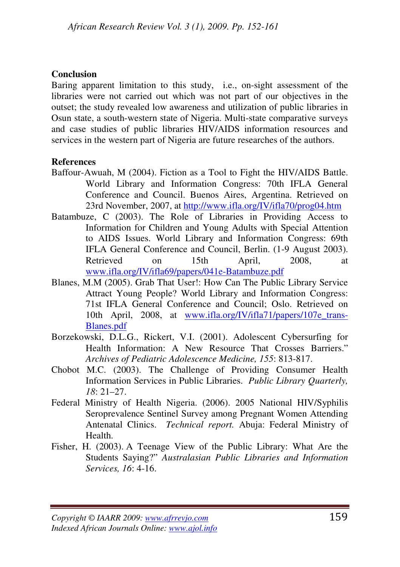### **Conclusion**

Baring apparent limitation to this study, i.e., on-sight assessment of the libraries were not carried out which was not part of our objectives in the outset; the study revealed low awareness and utilization of public libraries in Osun state, a south-western state of Nigeria. Multi-state comparative surveys and case studies of public libraries HIV/AIDS information resources and services in the western part of Nigeria are future researches of the authors.

### **References**

- Baffour-Awuah, M (2004). Fiction as a Tool to Fight the HIV/AIDS Battle. World Library and Information Congress: 70th IFLA General Conference and Council. Buenos Aires, Argentina. Retrieved on 23rd November, 2007, at http://www.ifla.org/IV/ifla70/prog04.htm
- Batambuze, C (2003). The Role of Libraries in Providing Access to Information for Children and Young Adults with Special Attention to AIDS Issues. World Library and Information Congress: 69th IFLA General Conference and Council, Berlin. (1-9 August 2003). Retrieved on 15th April, 2008, at www.ifla.org/IV/ifla69/papers/041e-Batambuze.pdf
- Blanes, M.M (2005). Grab That User!: How Can The Public Library Service Attract Young People? World Library and Information Congress: 71st IFLA General Conference and Council; Oslo. Retrieved on 10th April, 2008, at www.ifla.org/IV/ifla71/papers/107e\_trans-Blanes.pdf
- Borzekowski, D.L.G., Rickert, V.I. (2001). Adolescent Cybersurfing for Health Information: A New Resource That Crosses Barriers." *Archives of Pediatric Adolescence Medicine, 155*: 813-817.
- Chobot M.C. (2003). The Challenge of Providing Consumer Health Information Services in Public Libraries. *Public Library Quarterly, 18*: 21–27.
- Federal Ministry of Health Nigeria. (2006). 2005 National HIV/Syphilis Seroprevalence Sentinel Survey among Pregnant Women Attending Antenatal Clinics. *Technical report.* Abuja: Federal Ministry of Health.
- Fisher, H. (2003). A Teenage View of the Public Library: What Are the Students Saying?" *Australasian Public Libraries and Information Services, 16*: 4-16.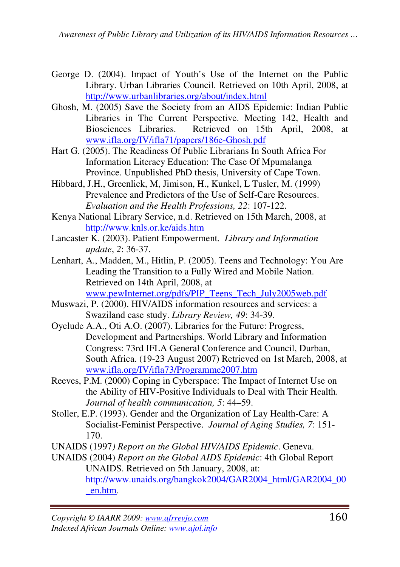- George D. (2004). Impact of Youth's Use of the Internet on the Public Library. Urban Libraries Council. Retrieved on 10th April, 2008, at http://www.urbanlibraries.org/about/index.html
- Ghosh, M. (2005) Save the Society from an AIDS Epidemic: Indian Public Libraries in The Current Perspective. Meeting 142, Health and Biosciences Libraries. Retrieved on 15th April, 2008, at www.ifla.org/IV/ifla71/papers/186e-Ghosh.pdf
- Hart G. (2005). The Readiness Of Public Librarians In South Africa For Information Literacy Education: The Case Of Mpumalanga Province. Unpublished PhD thesis, University of Cape Town.
- Hibbard, J.H., Greenlick, M, Jimison, H., Kunkel, L Tusler, M. (1999) Prevalence and Predictors of the Use of Self-Care Resources. *Evaluation and the Health Professions, 22*: 107-122.
- Kenya National Library Service, n.d. Retrieved on 15th March, 2008, at http://www.knls.or.ke/aids.htm
- Lancaster K. (2003). Patient Empowerment. *Library and Information update*, *2*: 36-37.
- Lenhart, A., Madden, M., Hitlin, P. (2005). Teens and Technology: You Are Leading the Transition to a Fully Wired and Mobile Nation. Retrieved on 14th April, 2008, at

www.pewInternet.org/pdfs/PIP\_Teens\_Tech\_July2005web.pdf

- Muswazi, P. (2000). HIV/AIDS information resources and services: a Swaziland case study. *Library Review, 49*: 34-39.
- Oyelude A.A., Oti A.O. (2007). Libraries for the Future: Progress, Development and Partnerships. World Library and Information Congress: 73rd IFLA General Conference and Council, Durban, South Africa. (19-23 August 2007) Retrieved on 1st March, 2008, at www.ifla.org/IV/ifla73/Programme2007.htm
- Reeves, P.M. (2000) Coping in Cyberspace: The Impact of Internet Use on the Ability of HIV-Positive Individuals to Deal with Their Health. *Journal of health communication, 5*: 44–59.
- Stoller, E.P. (1993). Gender and the Organization of Lay Health-Care: A Socialist-Feminist Perspective. *Journal of Aging Studies, 7*: 151- 170.

UNAIDS (1997*) Report on the Global HIV/AIDS Epidemic*. Geneva.

UNAIDS (2004) *Report on the Global AIDS Epidemic*: 4th Global Report UNAIDS. Retrieved on 5th January, 2008, at:

http://www.unaids.org/bangkok2004/GAR2004\_html/GAR2004\_00 \_en.htm.